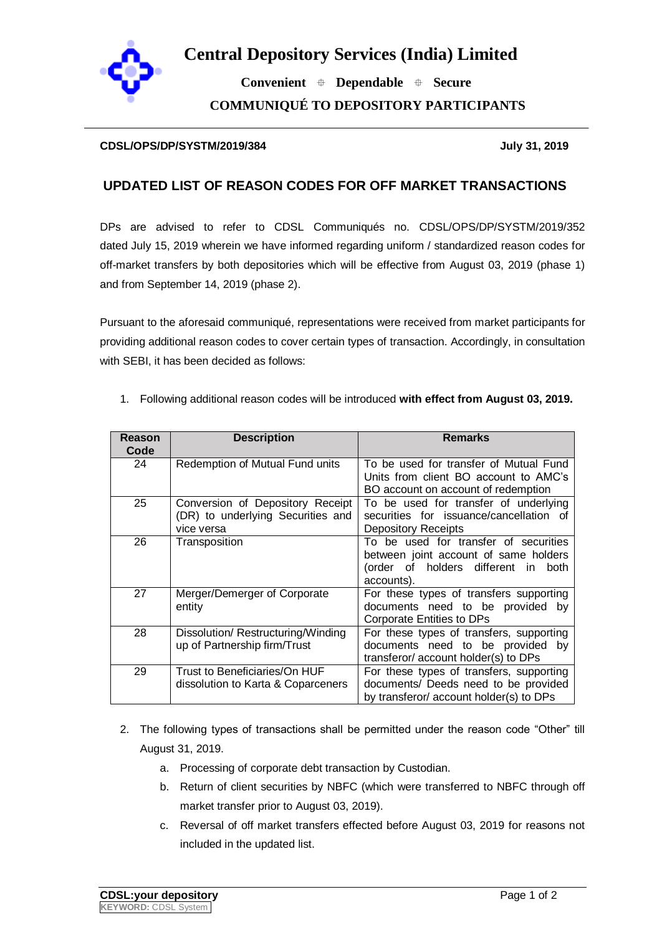

**Central Depository Services (India) Limited**

 **Convenient Dependable Secure COMMUNIQUÉ TO DEPOSITORY PARTICIPANTS**

## **CDSL/OPS/DP/SYSTM/2019/384 July 31, 2019**

## **UPDATED LIST OF REASON CODES FOR OFF MARKET TRANSACTIONS**

DPs are advised to refer to CDSL Communiqués no. CDSL/OPS/DP/SYSTM/2019/352 dated July 15, 2019 wherein we have informed regarding uniform / standardized reason codes for off-market transfers by both depositories which will be effective from August 03, 2019 (phase 1) and from September 14, 2019 (phase 2).

Pursuant to the aforesaid communiqué, representations were received from market participants for providing additional reason codes to cover certain types of transaction. Accordingly, in consultation with SEBI, it has been decided as follows:

| Reason<br>Code | <b>Description</b>                                                                  | <b>Remarks</b>                                                                                                                      |
|----------------|-------------------------------------------------------------------------------------|-------------------------------------------------------------------------------------------------------------------------------------|
| 24             | Redemption of Mutual Fund units                                                     | To be used for transfer of Mutual Fund<br>Units from client BO account to AMC's<br>BO account on account of redemption              |
| 25             | Conversion of Depository Receipt<br>(DR) to underlying Securities and<br>vice versa | To be used for transfer of underlying<br>securities for issuance/cancellation of<br>Depository Receipts                             |
| 26             | Transposition                                                                       | To be used for transfer of securities<br>between joint account of same holders<br>(order of holders different in both<br>accounts). |
| 27             | Merger/Demerger of Corporate<br>entity                                              | For these types of transfers supporting<br>documents need to be provided by<br>Corporate Entities to DPs                            |
| 28             | Dissolution/Restructuring/Winding<br>up of Partnership firm/Trust                   | For these types of transfers, supporting<br>documents need to be provided by<br>transferor/account holder(s) to DPs                 |
| 29             | Trust to Beneficiaries/On HUF<br>dissolution to Karta & Coparceners                 | For these types of transfers, supporting<br>documents/ Deeds need to be provided<br>by transferor/ account holder(s) to DPs         |

1. Following additional reason codes will be introduced **with effect from August 03, 2019.**

- 2. The following types of transactions shall be permitted under the reason code "Other" till August 31, 2019.
	- a. Processing of corporate debt transaction by Custodian.
	- b. Return of client securities by NBFC (which were transferred to NBFC through off market transfer prior to August 03, 2019).
	- c. Reversal of off market transfers effected before August 03, 2019 for reasons not included in the updated list.